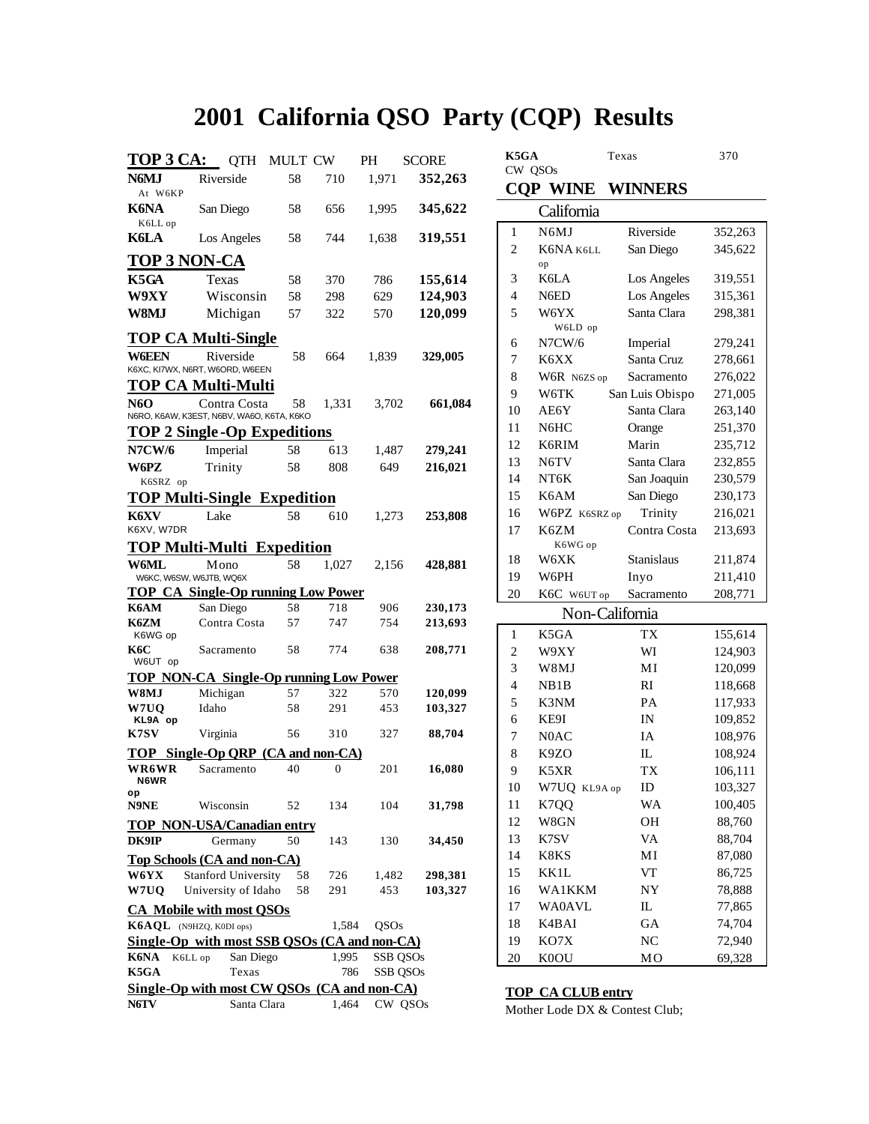## **2001 California QSO Party (CQP) Results**

| TOP 3 CA:                                                                   | <b>QTH</b>                                                | <b>MULT CW</b> |                                  | PH       | <b>SCORE</b> | K5GA                     | Texas             |                 | 370     |
|-----------------------------------------------------------------------------|-----------------------------------------------------------|----------------|----------------------------------|----------|--------------|--------------------------|-------------------|-----------------|---------|
| N6MJ                                                                        | Riverside                                                 | 58             | 710                              | 1,971    | 352,263      |                          | CW QSOs           |                 |         |
| At W6KP                                                                     |                                                           |                |                                  |          |              | <b>CQP</b>               | WINE              | <b>WINNERS</b>  |         |
| K6NA<br>K6LL op                                                             | San Diego                                                 | 58             | 656                              | 1,995    | 345,622      |                          | California        |                 |         |
| <b>K6LA</b>                                                                 | Los Angeles                                               | 58             | 744                              | 1,638    | 319,551      | 1                        | N6MJ              | Riverside       | 352,263 |
|                                                                             |                                                           |                |                                  |          |              | 2                        | K6NA K6LL         | San Diego       | 345,622 |
|                                                                             | <b>TOP 3 NON-CA</b>                                       |                |                                  |          |              |                          | op                |                 |         |
| K5GA                                                                        | Texas                                                     | 58             | 370                              | 786      | 155,614      | 3                        | K6LA              | Los Angeles     | 319,551 |
| W9XY                                                                        | Wisconsin                                                 | 58             | 298                              | 629      | 124,903      | 4                        | N6ED              | Los Angeles     | 315,361 |
| W8MJ                                                                        | Michigan                                                  | 57             | 322                              | 570      | 120,099      | 5                        | W6YX<br>W6LD op   | Santa Clara     | 298,381 |
|                                                                             | <b>TOP CA Multi-Single</b>                                |                |                                  |          |              | 6                        | N7CW/6            | Imperial        | 279,241 |
| <b>W6EEN</b>                                                                | Riverside                                                 | 58             | 664                              | 1,839    | 329,005      | 7                        | K6XX              | Santa Cruz      | 278,661 |
|                                                                             | K6XC, KI7WX, N6RT, W6ORD, W6EEN                           |                |                                  |          |              | 8                        | W6R N6ZS op       | Sacramento      | 276,022 |
|                                                                             | <b>TOP CA Multi-Multi</b>                                 |                |                                  |          |              | 9                        | W6TK              | San Luis Obispo | 271,005 |
| <b>N6O</b>                                                                  | Contra Costa<br>N6RO, K6AW, K3EST, N6BV, WA6O, K6TA, K6KO | 58             | 1,331                            | 3,702    | 661,084      | 10                       | AE6Y              | Santa Clara     | 263,140 |
|                                                                             | <b>TOP 2 Single -Op Expeditions</b>                       |                |                                  |          |              | 11                       | N6HC              | Orange          | 251,370 |
| <b>N7CW/6</b>                                                               | Imperial                                                  | 58             | 613                              | 1,487    | 279,241      | 12                       | K6RIM             | Marin           | 235,712 |
| W6PZ                                                                        | Trinity                                                   | 58             | 808                              | 649      | 216,021      | 13                       | N6TV              | Santa Clara     | 232,855 |
| K6SRZ op                                                                    |                                                           |                |                                  |          |              | 14                       | NT6K              | San Joaquin     | 230,579 |
|                                                                             | <b>TOP Multi-Single Expedition</b>                        |                |                                  |          |              | 15                       | K6AM              | San Diego       | 230,173 |
| K6XV                                                                        | Lake                                                      | 58             | 610                              | 1,273    | 253,808      | 16                       | W6PZ K6SRZ op     | Trinity         | 216,021 |
| K6XV, W7DR                                                                  |                                                           |                |                                  |          |              | 17                       | K6ZM              | Contra Costa    | 213,693 |
|                                                                             | <b>TOP Multi-Multi Expedition</b>                         |                |                                  |          |              |                          | K6WG op           |                 |         |
| W6ML                                                                        | Mono                                                      | 58             | 1,027                            | 2,156    | 428,881      | 18                       | W6XK              | Stanislaus      | 211,874 |
|                                                                             | W6KC, W6SW, W6JTB, WQ6X                                   |                |                                  |          |              | 19                       | W6PH              | Inyo            | 211,410 |
|                                                                             | <b>TOP CA Single-Op running Low Power</b>                 |                |                                  |          |              | 20                       | K6C W6UT op       | Sacramento      | 208,771 |
| K6AM                                                                        | San Diego                                                 | 58             | 718                              | 906      | 230,173      |                          | Non-California    |                 |         |
| K6ZM<br>K6WG op                                                             | Contra Costa                                              | 57             | 747                              | 754      | 213,693      | 1                        | K5GA              | TX              | 155,614 |
| K <sub>6</sub> C                                                            | Sacramento                                                | 58             | 774                              | 638      | 208,771      | 2                        | W9XY              | WI              | 124,903 |
| W6UT op                                                                     |                                                           |                |                                  |          |              | 3                        | W8MJ              | MI              | 120,099 |
|                                                                             | <b>TOP NON-CA Single-Op running Low Power</b>             |                |                                  |          |              | 4                        | NB1B              | RI              | 118,668 |
| W8MJ                                                                        | Michigan                                                  | 57             | 322                              | 570      | 120,099      | 5                        | K3NM              | PA              | 117,933 |
| W7UQ<br>KL9A op                                                             | Idaho                                                     | 58             | 291                              | 453      | 103,327      | 6                        | KE9I              | IN              | 109,852 |
| K7SV                                                                        | Virginia                                                  | 56             | 310                              | 327      | 88,704       | 7                        | N <sub>0</sub> AC | IA              | 108,976 |
|                                                                             | <b>TOP</b> Single-Op QRP (CA and non-CA)                  |                |                                  |          |              | 8                        | K9ZO              | $\mathbbm{L}$   | 108,924 |
| WR6WR                                                                       | Sacramento                                                | 40             | $\Omega$                         | 201      | 16,080       | 9                        | K5XR              | TX              | 106,111 |
| N6WR                                                                        |                                                           |                |                                  |          |              | $10\,$                   | W7UQ KL9A op      | ID              | 103,327 |
| op<br>N9NE                                                                  | Wisconsin                                                 | 52             | 134                              | 104      | 31,798       | 11                       | K7QQ              | WA              | 100,405 |
|                                                                             | <b>TOP NON-USA/Canadian entry</b>                         |                |                                  |          |              | 12                       | W8GN              | OH              | 88,760  |
| <b>DK9IP</b>                                                                | Germany                                                   | 50             | 143                              | 130      | 34,450       | 13                       | K7SV              | VA              | 88,704  |
|                                                                             | <b>Top Schools (CA and non-CA)</b>                        |                |                                  |          |              | 14                       | K8KS              | МI              | 87,080  |
| W6YX                                                                        | <b>Stanford University</b>                                | 58             | 726                              | 1,482    | 298,381      | 15                       | KK1L              | VT              | 86,725  |
| W7UQ                                                                        | University of Idaho                                       | 58             | 291                              | 453      | 103,327      | 16                       | <b>WA1KKM</b>     | NY              | 78,888  |
|                                                                             |                                                           |                |                                  |          |              | 17                       | <b>WA0AVL</b>     | L               | 77,865  |
| <b>CA</b> Mobile with most QSOs<br>K6AQL (N9HZQ, K0DI ops)<br>1,584<br>QSOs |                                                           |                |                                  |          |              | 18                       | K4BAI             | GA              | 74,704  |
| Single-Op with most SSB QSOs (CA and non-CA)                                |                                                           |                |                                  |          |              | 19                       | KO7X              | NC              | 72,940  |
| K6NA K6LL op                                                                | San Diego                                                 |                | 1,995                            | SSB QSOs |              | 20                       | K <sub>0</sub> OU | MO              | 69,328  |
| K5GA                                                                        | Texas                                                     |                | 786                              | SSB QSOs |              |                          |                   |                 |         |
| Single-Op with most CW QSOs (CA and non-CA)                                 |                                                           |                |                                  |          |              | <b>TOP CA CLUB entry</b> |                   |                 |         |
| N6TV<br>Santa Clara<br>1,464<br>CW QSOs                                     |                                                           |                | Mother Lode DX $&$ Contest Club: |          |              |                          |                   |                 |         |

Texas 370

| CW QSOs        |                   |                   |         |  |  |  |  |
|----------------|-------------------|-------------------|---------|--|--|--|--|
| COP            | <b>WINE</b>       | <b>WINNERS</b>    |         |  |  |  |  |
|                | California        |                   |         |  |  |  |  |
| 1              | N6MJ              | Riverside         | 352,263 |  |  |  |  |
| $\overline{2}$ | K6NA K6LL         | San Diego         | 345,622 |  |  |  |  |
|                | op                |                   |         |  |  |  |  |
| 3              | K6LA              | Los Angeles       | 319,551 |  |  |  |  |
| $\overline{4}$ | N6ED              | Los Angeles       | 315,361 |  |  |  |  |
| 5              | W6YX              | Santa Clara       | 298,381 |  |  |  |  |
| 6              | W6LD op<br>N7CW/6 |                   | 279,241 |  |  |  |  |
|                |                   | Imperial          |         |  |  |  |  |
| 7              | K6XX              | Santa Cruz        | 278,661 |  |  |  |  |
| 8              | W6R N6ZS op       | Sacramento        | 276,022 |  |  |  |  |
| 9              | W6TK              | San Luis Obispo   | 271,005 |  |  |  |  |
| 10             | AE6Y              | Santa Clara       | 263,140 |  |  |  |  |
| 11             | N6HC              | Orange            | 251,370 |  |  |  |  |
| 12             | K6RIM             | Marin             | 235,712 |  |  |  |  |
| 13             | N6TV              | Santa Clara       | 232,855 |  |  |  |  |
| 14             | NT6K              | San Joaquin       | 230,579 |  |  |  |  |
| 15             | K6AM              | San Diego         | 230,173 |  |  |  |  |
| 16             | W6PZ K6SRZ op     | Trinity           | 216,021 |  |  |  |  |
| 17             | K6ZM              | Contra Costa      | 213,693 |  |  |  |  |
|                | K6WG op           |                   |         |  |  |  |  |
| 18             | W6XK              | <b>Stanislaus</b> | 211,874 |  |  |  |  |
| 19             | W6PH              | Inyo              | 211,410 |  |  |  |  |
| 20             | K6C W6UT op       | Sacramento        | 208,771 |  |  |  |  |
| Non-California |                   |                   |         |  |  |  |  |
| 1              | K5GA              | <b>TX</b>         | 155,614 |  |  |  |  |
| $\overline{c}$ | W9XY              | WI                | 124,903 |  |  |  |  |
| 3              | W8MJ              | MI                | 120,099 |  |  |  |  |
| $\overline{4}$ | NB <sub>1</sub> B | RI                | 118,668 |  |  |  |  |
| 5              | K3NM              | PA                | 117,933 |  |  |  |  |

| 13 | K7SV          | VA             | 88,704 |
|----|---------------|----------------|--------|
| 14 | K8KS          | МI             | 87,080 |
| 15 | KK1L          | VT             | 86,725 |
| 16 | <b>WA1KKM</b> | NY             | 78,888 |
| 17 | <b>WA0AVL</b> | Π.             | 77,865 |
| 18 | K4BAI         | GA             | 74,704 |
| 19 | KO7X          | N <sub>C</sub> | 72,940 |
| 20 | K0OU          | MO             | 69,328 |

Mother Lode DX & Contest Club;